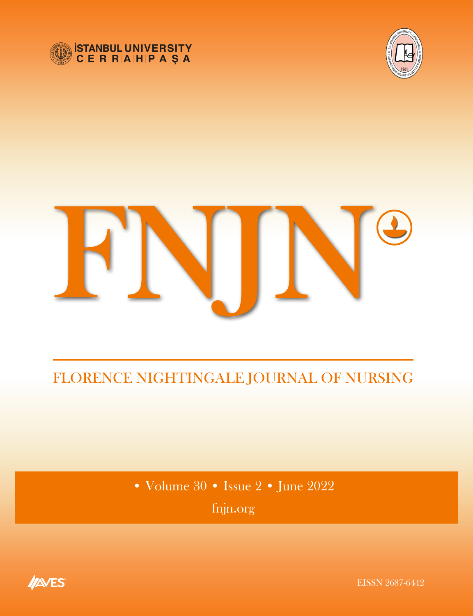





# FLORENCE NIGHTINGALE JOURNAL OF NURSING

• Volume 30 • Issue 2 • June 2022 fnjn.org

<span id="page-0-0"></span>

EISSN 2687-6442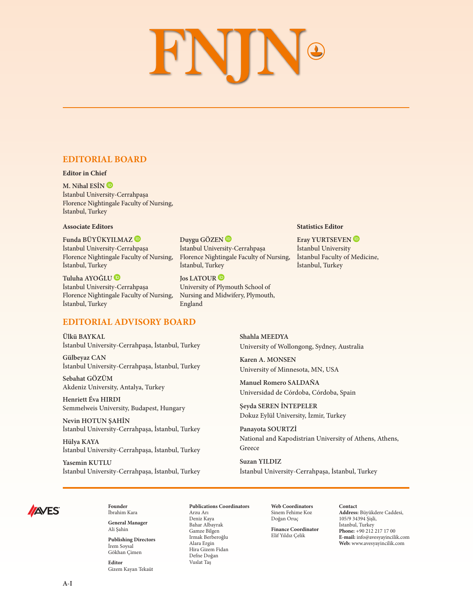# **FNIN**®

# **EDITORIAL BOARD**

#### **Editor in Chief**

**M. Nihal ESİ[N](http://orcid.org/0000-0002-5476-9419)** İstanbul University-Cerrahpaşa Florence Nightingale Faculty of Nursing, İstanbul, Turkey

### **Associate Editors**

**Funda BÜYÜKYILMAZ** İstanbul University-Cerrahpaşa Florence Nightingale Faculty of Nursing, İstanbul, Turkey

**Tuluha AYOĞLU** İstanbul University-Cerrahpaşa Florence Nightingale Faculty of Nursing, İstanbul, Turkey

### **EDITORIAL ADVISORY BOARD**

**Ülkü BAYKAL** İstanbul University-Cerrahpaşa, İstanbul, Turkey

**Gülbeyaz CAN** İstanbul University-Cerrahpaşa, İstanbul, Turkey

**Sebahat GÖZÜM** Akdeniz University, Antalya, Turkey

**Henriett Éva HIRDI** Semmelweis University, Budapest, Hungary

**Nevin HOTUN ŞAHİN** İstanbul University-Cerrahpaşa, İstanbul, Turkey

**Hülya KAYA** İstanbul University-Cerrahpaşa, İstanbul, Turkey

**Yasemin KUTLU** İstanbul University-Cerrahpaşa, İstanbul, Turkey

**Duygu GÖZE[N](https://orcid.org/0000-0001-9272-3561)** İstanbul University-Cerrahpaşa Florence Nightingale Faculty of Nursing, İstanbul, Turkey

**Jos LATOUR** University of Plymouth School of Nursing and Midwifery, Plymouth, England

### **Statistics Editor**

**Eray YURTSEVEN** İstanbul University İstanbul Faculty of Medicine, İstanbul, Turkey

**Shahla MEEDYA** University of Wollongong, Sydney, Australia

**Karen A. MONSEN** University of Minnesota, MN, USA

**Manuel Romero SALDAÑA** Universidad de Córdoba, Córdoba, Spain

**Şeyda SEREN İNTEPELER** Dokuz Eylül University, İzmir, Turkey

**Panayota SOURTZİ** National and Kapodistrian University of Athens, Athens, Greece

**Suzan YILDIZ** İstanbul University-Cerrahpaşa, İstanbul, Turkey



**Founder**  İbrahim Kara **General Manager**

Ali Şahin

**Publishing Directors** İrem Soysal Gökhan Çimen

**Editor** Gizem Kayan Tekaüt **Publications Coordinators**

Arzu Arı Deniz Kaya Bahar Albayrak Gamze Bilgen Irmak Berberoğlu Alara Ergin Hira Gizem Fidan Defne Doğan Vuslat Taş

**Web Coordinators** Sinem Fehime Koz Doğan Oruç

**Finance Coordinator** Elif Yıldız Çelik

**Contact Address:** Büyükdere Caddesi, 105/9 34394 Şişli, İstanbul, Turkey **Phone:** +90 212 217 17 00

**E-mail:** info@avesyayincilik.com **Web:** www.avesyayincilik.com

**A-I**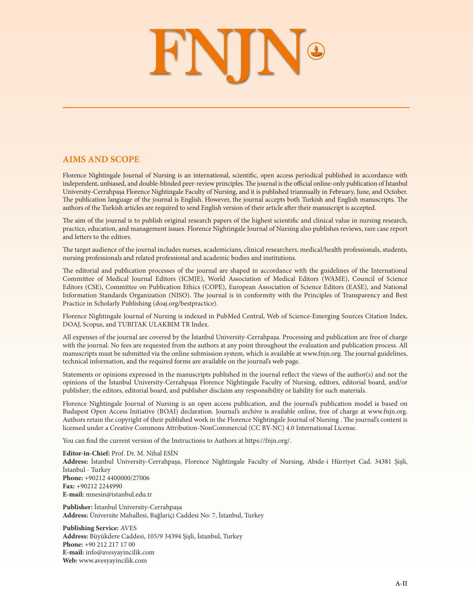# FNING

## **AIMS AND SCOPE**

Florence Nightingale Journal of Nursing is an international, scientific, open access periodical published in accordance with independent, unbiased, and double-blinded peer-review principles. The journal is the official online-only publication of İstanbul University-Cerrahpaşa Florence Nightingale Faculty of Nursing, and it is published triannually in February, June, and October. The publication language of the journal is English. However, the journal accepts both Turkish and English manuscripts. The authors of the Turkish articles are required to send English version of their article after their manuscript is accepted.

The aim of the journal is to publish original research papers of the highest scientific and clinical value in nursing research, practice, education, and management issues. Florence Nightingale Journal of Nursing also publishes reviews, rare case report and letters to the editors.

The target audience of the journal includes nurses, academicians, clinical researchers, medical/health professionals, students, nursing professionals and related professional and academic bodies and institutions.

The editorial and publication processes of the journal are shaped in accordance with the guidelines of the International Committee of Medical Journal Editors (ICMJE), World Association of Medical Editors (WAME), Council of Science Editors (CSE), Committee on Publication Ethics (COPE), European Association of Science Editors (EASE), and National Information Standards Organization (NISO). The journal is in conformity with the Principles of Transparency and Best Practice in Scholarly Publishing (doaj.org/bestpractice).

Florence Nightingale Journal of Nursing is indexed in PubMed Central, Web of Science-Emerging Sources Citation Index, DOAJ, Scopus, and TUBITAK ULAKBIM TR Index.

All expenses of the journal are covered by the İstanbul University-Cerrahpaşa. Processing and publication are free of charge with the journal. No fees are requested from the authors at any point throughout the evaluation and publication process. All manuscripts must be submitted via the online submission system, which is available at www.fnjn.org. The journal guidelines, technical information, and the required forms are available on the journal's web page.

Statements or opinions expressed in the manuscripts published in the journal reflect the views of the author(s) and not the opinions of the İstanbul University-Cerrahpaşa Florence Nightingale Faculty of Nursing, editors, editorial board, and/or publisher; the editors, editorial board, and publisher disclaim any responsibility or liability for such materials.

Florence Nightingale Journal of Nursing is an open access publication, and the journal's publication model is based on Budapest Open Access Initiative (BOAI) declaration. Journal's archive is available online, free of charge at www.fnjn.org. Authors retain the copyright of their published work in the Florence Nightingale Journal of Nursing . The journal's content is licensed under a Creative Commons Attribution-NonCommercial (CC BY-NC) 4.0 International License.

You can find the current version of the Instructions to Authors at https://fnjn.org/.

**Editor-in-Chief:** Prof. Dr. M. Nihal ESİN **Address:** İstanbul University-Cerrahpaşa, Florence Nightingale Faculty of Nursing, Abide-i Hürriyet Cad. 34381 Şişli, İstanbul - Turkey **Phone:** +90212 4400000/27006 **Fax:** +90212 2244990 **E-mail:** mnesin@istanbul.edu.tr

**Publisher:** İstanbul University-Cerrahpaşa **Address:** Üniversite Mahallesi, Bağlariçi Caddesi No: 7, İstanbul, Turkey

**Publishing Service:** AVES **Address:** Büyükdere Caddesi, 105/9 34394 Şişli, İstanbul, Turkey **Phone:** +90 212 217 17 00 **E-mail:** info@avesyayincilik.com **Web:** www.avesyayincilik.com